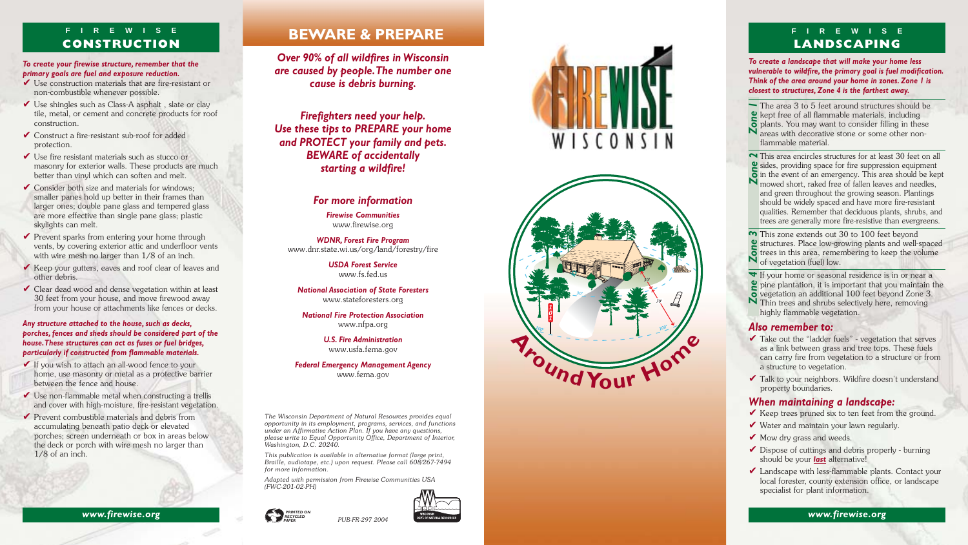*Over 90% of all wildfires in Wisconsin are caused by people. The number one cause is debris burning.*

*Firefighters need your help. Use these tips to PREPARE your home and PROTECT your family and pets. BEWARE of accidentally starting a wildfire!*

#### *For more information*

*Firewise Communities* www.firewise.org

*WDNR, Forest Fire Program* www.dnr.state.wi.us/org/land/forestry/fire

> *USDA Forest Service* www.fs.fed.us

*National Association of State Foresters* www.stateforesters.org

*National Fire Protection Association* www.nfpa.org

> *U.S. Fire Administration* www.usfa.fema.gov

#### *Federal Emergency Management Agency* www.fema.gov

*The Wisconsin Department of Natural Resources provides equal opportunity in its employment, programs, services, and functions under an Affirmative Action Plan. If you have any questions, please write to Equal Opportunity Office, Department of Interior, Washington, D.C. 20240.*

*This publication is available in alternative format (large print, Braille, audiotape, etc.) upon request. Please call 608/267-7494 for more information.*

*Adapted with permission from Firewise Communities USA (FWC-201-02-PH)*

- $\vee$  Use construction materials that are fire-resistant or non-combustible whenever possible.
- $\vee$  Use shingles such as Class-A asphalt, slate or clay tile, metal, or cement and concrete products for roof construction.
- $\vee$  Construct a fire-resistant sub-roof for added protection.
- $\vee$  Use fire resistant materials such as stucco or masonry for exterior walls. These products are much better than vinyl which can soften and melt.
- $\checkmark$  Consider both size and materials for windows; smaller panes hold up better in their frames than larger ones; double pane glass and tempered glass are more effective than single pane glass; plastic skylights can melt.
- $\vee$  Prevent sparks from entering your home through vents, by covering exterior attic and underfloor vents with wire mesh no larger than 1/8 of an inch.
- Keep your gutters, eaves and roof clear of leaves and other debris.
- $\vee$  Clear dead wood and dense vegetation within at least 30 feet from your house, and move firewood away from your house or attachments like fences or decks.



#### *To create your firewise structure, remember that the primary goals are fuel and exposure reduction.*

- $\checkmark$  If you wish to attach an all-wood fence to your home, use masonry or metal as a protective barrier between the fence and house.
- $\vee$  Use non-flammable metal when constructing a trellis and cover with high-moisture, fire-resistant vegetation.
- $\vee$  Prevent combustible materials and debris from accumulating beneath patio deck or elevated porches; screen underneath or box in areas below the deck or porch with wire mesh no larger than 1/8 of an inch.
- $\blacktriangleright$  Take out the "ladder fuels" vegetation that serves as a link between grass and tree tops. These fuels can carry fire from vegetation to a structure or from a structure to vegetation.
- $\checkmark$  Talk to your neighbors. Wildfire doesn't understand property boundaries.

#### *Any structure attached to the house, such as decks, porches, fences and sheds should be considered part of the house. These structures can act as fuses or fuel bridges, particularly if constructed from flammable materials.*

- $\vee$  Keep trees pruned six to ten feet from the ground.
- ✔ Water and maintain your lawn regularly.
- $\blacktriangleright$  Mow dry grass and weeds.
- ✔ Dispose of cuttings and debris properly burning should be your *last* alternative!
- $\blacktriangleright$  Landscape with less-flammable plants. Contact your local forester, county extension office, or landscape specialist for plant information.

**www.firewise.org www.firewise.org WWW.firewise.org** 

*To create a landscape that will make your home less vulnerable to wildfire, the primary goal is fuel modification. Think of the area around your home in zones. Zone 1 is closest to structures, Zone 4 is the farthest away.*



The area 3 to 5 feet around structures should be  $\mathbf{\Omega}$  kept free of all flammable materials, including The area 3 to 5 feet around structures should be<br>*Z* kept free of all flammable materials, including<br>*Z* plants. You may want to consider filling in these<br>*Z* areas with decorative stone or some other nonareas with decorative stone or some other nonflammable material.



This area encircles structures for at least 30 feet on all sides, providing space for fire suppression equipment This area encircles structures for at least 30 feet on all<br> **2** sides, providing space for fire suppression equipment<br> **in** the event of an emergency. This area should be kept<br> **N** mowed short raked free of fallen leaves a M mowed short, raked free of fallen leaves and needles, and green throughout the growing season. Plantings should be widely spaced and have more fire-resistant qualities. Remember that deciduous plants, shrubs, and trees are generally more fire-resistive than evergreens.

If your home or seasonal residence is in or near a pine plantation, it is important that you maintain the <del>v</del> If your home or seasonal residence is in or near a<br> **P** pine plantation, it is important that you maintain<br> **P** vegetation an additional 100 feet beyond Zone 3.<br> **N** Thin trees and shrubs selectively here removing N Thin trees and shrubs selectively here, removing highly flammable vegetation.

#### *Also remember to:*

#### *When maintaining a landscape:*



# **LANDSCAPING**

#### **F I R E W I S E CONSTRUCTION**



 *PRINTED ON RECYCLED PAPER*





This zone extends out 30 to 100 feet beyond structures. Place low-growing plants and well-spaced  $\overline{\bullet}$  trees in this area, remembering to keep the volume N of vegetation (fuel) low.